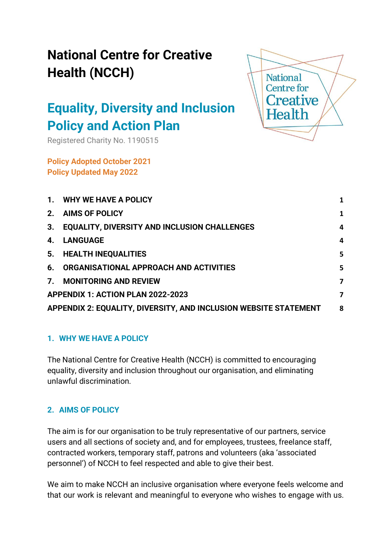# **Equality, Diversity and Inclusion Policy and Action Plan**

Registered Charity No. 1190515

**Policy Adopted October 2021 Policy Updated May 2022**



| $\mathbf{1}$ .                                                   | WHY WE HAVE A POLICY                                | 1 |
|------------------------------------------------------------------|-----------------------------------------------------|---|
| 2.                                                               | <b>AIMS OF POLICY</b>                               | 1 |
| 3.                                                               | <b>EQUALITY, DIVERSITY AND INCLUSION CHALLENGES</b> | 4 |
| 4.                                                               | <b>LANGUAGE</b>                                     | 4 |
| 5.                                                               | <b>HEALTH INEQUALITIES</b>                          | 5 |
| 6.                                                               | ORGANISATIONAL APPROACH AND ACTIVITIES              | 5 |
| 7 <sub>1</sub>                                                   | <b>MONITORING AND REVIEW</b>                        | 7 |
| APPENDIX 1: ACTION PLAN 2022-2023                                |                                                     | 7 |
| APPENDIX 2: EQUALITY, DIVERSITY, AND INCLUSION WEBSITE STATEMENT |                                                     | 8 |

# <span id="page-0-0"></span>**1. WHY WE HAVE A POLICY**

The National Centre for Creative Health (NCCH) is committed to encouraging equality, diversity and inclusion throughout our organisation, and eliminating unlawful discrimination.

# <span id="page-0-1"></span>**2. AIMS OF POLICY**

The aim is for our organisation to be truly representative of our partners, service users and all sections of society and, and for employees, trustees, freelance staff, contracted workers, temporary staff, patrons and volunteers (aka 'associated personnel') of NCCH to feel respected and able to give their best.

We aim to make NCCH an inclusive organisation where everyone feels welcome and that our work is relevant and meaningful to everyone who wishes to engage with us.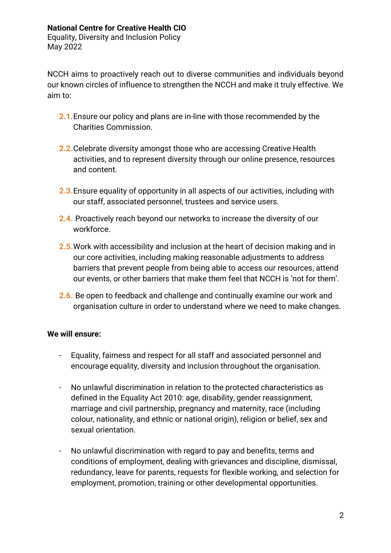Equality, Diversity and Inclusion Policy May 2022

NCCH aims to proactively reach out to diverse communities and individuals beyond our known circles of influence to strengthen the NCCH and make it truly effective. We aim to:

- **2.1.**Ensure our policy and plans are in-line with those recommended by the Charities Commission.
- **2.2.**Celebrate diversity amongst those who are accessing Creative Health activities, and to represent diversity through our online presence, resources and content.
- **2.3.**Ensure equality of opportunity in all aspects of our activities, including with our staff, associated personnel, trustees and service users.
- **2.4.** Proactively reach beyond our networks to increase the diversity of our workforce.
- **2.5.**Work with accessibility and inclusion at the heart of decision making and in our core activities, including making reasonable adjustments to address barriers that prevent people from being able to access our resources, attend our events, or other barriers that make them feel that NCCH is 'not for them'.
- **2.6.** Be open to feedback and challenge and continually examine our work and organisation culture in order to understand where we need to make changes.

# **We will ensure:**

- Equality, fairness and respect for all staff and associated personnel and encourage equality, diversity and inclusion throughout the organisation.
- No unlawful discrimination in relation to the protected characteristics as defined in the Equality Act 2010: age, disability, gender reassignment, marriage and civil partnership, pregnancy and maternity, race (including colour, nationality, and ethnic or national origin), religion or belief, sex and sexual orientation.
- No unlawful discrimination with regard to pay and benefits, terms and conditions of employment, dealing with grievances and discipline, dismissal, redundancy, leave for parents, requests for flexible working, and selection for employment, promotion, training or other developmental opportunities.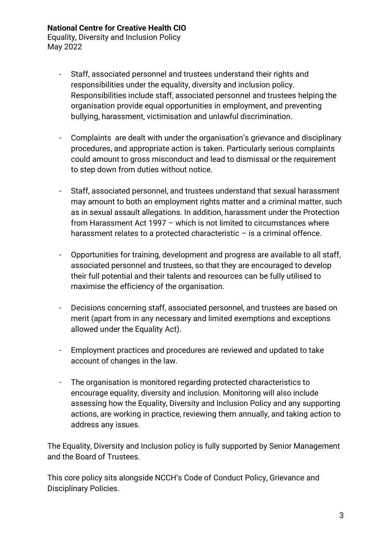Equality, Diversity and Inclusion Policy May 2022

- Staff, associated personnel and trustees understand their rights and responsibilities under the equality, diversity and inclusion policy. Responsibilities include staff, associated personnel and trustees helping the organisation provide equal opportunities in employment, and preventing bullying, harassment, victimisation and unlawful discrimination.
- Complaints are dealt with under the organisation's grievance and disciplinary procedures, and appropriate action is taken. Particularly serious complaints could amount to gross misconduct and lead to dismissal or the requirement to step down from duties without notice.
- Staff, associated personnel, and trustees understand that sexual harassment may amount to both an employment rights matter and a criminal matter, such as in sexual assault allegations. In addition, harassment under the Protection from Harassment Act 1997 – which is not limited to circumstances where harassment relates to a protected characteristic - is a criminal offence.
- Opportunities for training, development and progress are available to all staff, associated personnel and trustees, so that they are encouraged to develop their full potential and their talents and resources can be fully utilised to maximise the efficiency of the organisation.
- Decisions concerning staff, associated personnel, and trustees are based on merit (apart from in any necessary and limited exemptions and exceptions allowed under the Equality Act).
- Employment practices and procedures are reviewed and updated to take account of changes in the law.
- The organisation is monitored regarding protected characteristics to encourage equality, diversity and inclusion. Monitoring will also include assessing how the Equality, Diversity and Inclusion Policy and any supporting actions, are working in practice, reviewing them annually, and taking action to address any issues.

The Equality, Diversity and Inclusion policy is fully supported by Senior Management and the Board of Trustees.

This core policy sits alongside NCCH's Code of Conduct Policy, Grievance and Disciplinary Policies.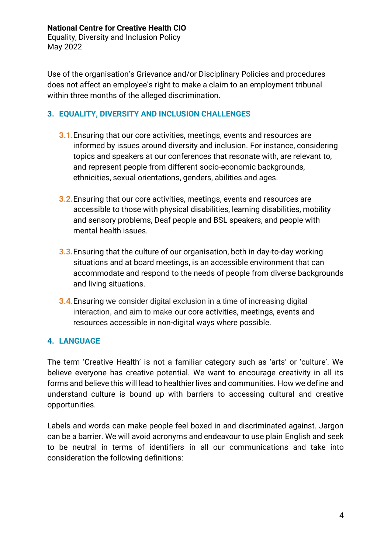Equality, Diversity and Inclusion Policy May 2022

Use of the organisation's Grievance and/or Disciplinary Policies and procedures does not affect an employee's right to make a claim to an employment tribunal within three months of the alleged discrimination.

## <span id="page-3-0"></span>**3. EQUALITY, DIVERSITY AND INCLUSION CHALLENGES**

- **3.1.**Ensuring that our core activities, meetings, events and resources are informed by issues around diversity and inclusion. For instance, considering topics and speakers at our conferences that resonate with, are relevant to, and represent people from different socio-economic backgrounds, ethnicities, sexual orientations, genders, abilities and ages.
- **3.2.**Ensuring that our core activities, meetings, events and resources are accessible to those with physical disabilities, learning disabilities, mobility and sensory problems, Deaf people and BSL speakers, and people with mental health issues.
- **3.3.**Ensuring that the culture of our organisation, both in day-to-day working situations and at board meetings, is an accessible environment that can accommodate and respond to the needs of people from diverse backgrounds and living situations.
- **3.4.**Ensuring we consider digital exclusion in a time of increasing digital interaction, and aim to make our core activities, meetings, events and resources accessible in non-digital ways where possible.

# <span id="page-3-1"></span>**4. LANGUAGE**

The term 'Creative Health' is not a familiar category such as 'arts' or 'culture'. We believe everyone has creative potential. We want to encourage creativity in all its forms and believe this will lead to healthier lives and communities. How we define and understand culture is bound up with barriers to accessing cultural and creative opportunities.

Labels and words can make people feel boxed in and discriminated against. Jargon can be a barrier. We will avoid acronyms and endeavour to use plain English and seek to be neutral in terms of identifiers in all our communications and take into consideration the following definitions: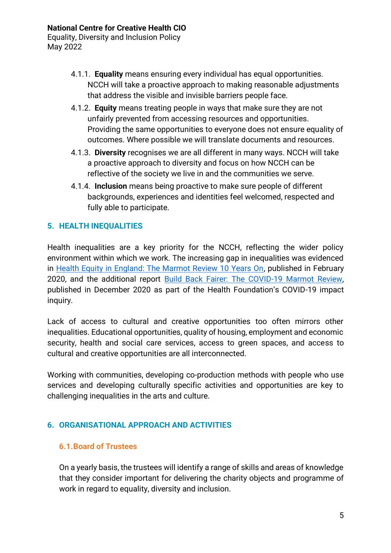May 2022

- 4.1.1. **Equality** means ensuring every individual has equal opportunities. NCCH will take a proactive approach to making reasonable adjustments that address the visible and invisible barriers people face.
- 4.1.2. **Equity** means treating people in ways that make sure they are not unfairly prevented from accessing resources and opportunities. Providing the same opportunities to everyone does not ensure equality of outcomes. Where possible we will translate documents and resources.
- 4.1.3. **Diversity** recognises we are all different in many ways. NCCH will take a proactive approach to diversity and focus on how NCCH can be reflective of the society we live in and the communities we serve.
- 4.1.4. **Inclusion** means being proactive to make sure people of different backgrounds, experiences and identities feel welcomed, respected and fully able to participate.

# <span id="page-4-0"></span>**5. HEALTH INEQUALITIES**

Health inequalities are a key priority for the NCCH, reflecting the wider policy environment within which we work. The increasing gap in inequalities was evidenced in [Health Equity in England: The Marmot Review 10 Years On,](https://www.health.org.uk/publications/reports/the-marmot-review-10-years-on) published in February 2020, and the additional report [Build Back Fairer: The COVID-19 Marmot Review,](https://www.health.org.uk/publications/build-back-fairer-the-covid-19-marmot-review) published in December 2020 as part of the Health Foundation's COVID-19 impact inquiry.

Lack of access to cultural and creative opportunities too often mirrors other inequalities. Educational opportunities, quality of housing, employment and economic security, health and social care services, access to green spaces, and access to cultural and creative opportunities are all interconnected.

Working with communities, developing co-production methods with people who use services and developing culturally specific activities and opportunities are key to challenging inequalities in the arts and culture.

# <span id="page-4-1"></span>**6. ORGANISATIONAL APPROACH AND ACTIVITIES**

# **6.1.Board of Trustees**

On a yearly basis, the trustees will identify a range of skills and areas of knowledge that they consider important for delivering the charity objects and programme of work in regard to equality, diversity and inclusion.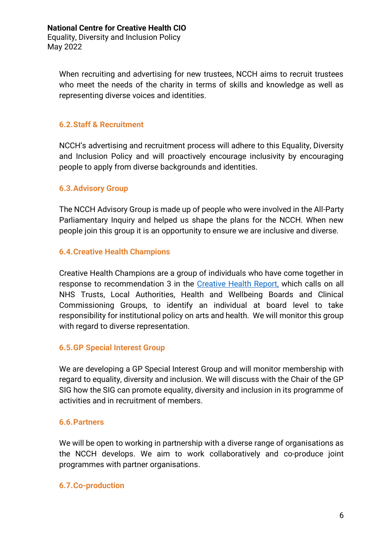When recruiting and advertising for new trustees, NCCH aims to recruit trustees who meet the needs of the charity in terms of skills and knowledge as well as representing diverse voices and identities.

## **6.2.Staff & Recruitment**

NCCH's advertising and recruitment process will adhere to this Equality, Diversity and Inclusion Policy and will proactively encourage inclusivity by encouraging people to apply from diverse backgrounds and identities.

#### **6.3.Advisory Group**

The NCCH Advisory Group is made up of people who were involved in the All-Party Parliamentary Inquiry and helped us shape the plans for the NCCH. When new people join this group it is an opportunity to ensure we are inclusive and diverse.

## **6.4.Creative Health Champions**

Creative Health Champions are a group of individuals who have come together in response to recommendation 3 in the [Creative Health Report,](https://www.culturehealthandwellbeing.org.uk/appg-inquiry/) which calls on all NHS Trusts, Local Authorities, Health and Wellbeing Boards and Clinical Commissioning Groups, to identify an individual at board level to take responsibility for institutional policy on arts and health. We will monitor this group with regard to diverse representation.

#### **6.5.GP Special Interest Group**

We are developing a GP Special Interest Group and will monitor membership with regard to equality, diversity and inclusion. We will discuss with the Chair of the GP SIG how the SIG can promote equality, diversity and inclusion in its programme of activities and in recruitment of members.

#### **6.6.Partners**

We will be open to working in partnership with a diverse range of organisations as the NCCH develops. We aim to work collaboratively and co-produce joint programmes with partner organisations.

#### **6.7.Co-production**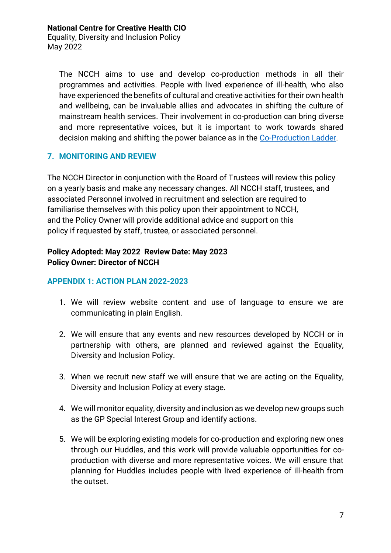Equality, Diversity and Inclusion Policy May 2022

The NCCH aims to use and develop co-production methods in all their programmes and activities. People with lived experience of ill-health, who also have experienced the benefits of cultural and creative activities for their own health and wellbeing, can be invaluable allies and advocates in shifting the culture of mainstream health services. Their involvement in co-production can bring diverse and more representative voices, but it is important to work towards shared decision making and shifting the power balance as in the [Co-Production Ladder.](https://www.thinklocalactpersonal.org.uk/_assets/Resources/Coproduction/LadderOfParticipation.pdf)

# <span id="page-6-0"></span>**7. MONITORING AND REVIEW**

The NCCH Director in conjunction with the Board of Trustees will review this policy on a yearly basis and make any necessary changes. All NCCH staff, trustees, and associated Personnel involved in recruitment and selection are required to familiarise themselves with this policy upon their appointment to NCCH, and the Policy Owner will provide additional advice and support on this policy if requested by staff, trustee, or associated personnel.

## **Policy Adopted: May 2022 Review Date: May 2023 Policy Owner: Director of NCCH**

## <span id="page-6-1"></span>**APPENDIX 1: ACTION PLAN 2022-2023**

- 1. We will review website content and use of language to ensure we are communicating in plain English.
- 2. We will ensure that any events and new resources developed by NCCH or in partnership with others, are planned and reviewed against the Equality, Diversity and Inclusion Policy.
- 3. When we recruit new staff we will ensure that we are acting on the Equality, Diversity and Inclusion Policy at every stage.
- 4. We will monitor equality, diversity and inclusion as we develop new groups such as the GP Special Interest Group and identify actions.
- 5. We will be exploring existing models for co-production and exploring new ones through our Huddles, and this work will provide valuable opportunities for coproduction with diverse and more representative voices. We will ensure that planning for Huddles includes people with lived experience of ill-health from the outset.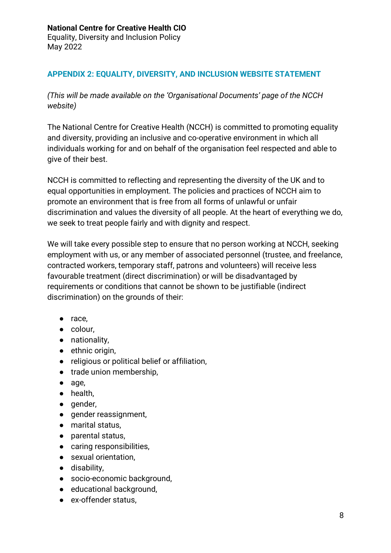# <span id="page-7-0"></span>**APPENDIX 2: EQUALITY, DIVERSITY, AND INCLUSION WEBSITE STATEMENT**

*(This will be made available on the 'Organisational Documents' page of the NCCH website)*

The National Centre for Creative Health (NCCH) is committed to promoting equality and diversity, providing an inclusive and co-operative environment in which all individuals working for and on behalf of the organisation feel respected and able to give of their best.

NCCH is committed to reflecting and representing the diversity of the UK and to equal opportunities in employment. The policies and practices of NCCH aim to promote an environment that is free from all forms of unlawful or unfair discrimination and values the diversity of all people. At the heart of everything we do, we seek to treat people fairly and with dignity and respect.

We will take every possible step to ensure that no person working at NCCH, seeking employment with us, or any member of associated personnel (trustee, and freelance, contracted workers, temporary staff, patrons and volunteers) will receive less favourable treatment (direct discrimination) or will be disadvantaged by requirements or conditions that cannot be shown to be justifiable (indirect discrimination) on the grounds of their:

- race,
- colour,
- nationality,
- ethnic origin.
- religious or political belief or affiliation,
- trade union membership,
- age,
- health,
- gender,
- gender reassignment,
- marital status,
- parental status,
- caring responsibilities,
- sexual orientation,
- disability,
- socio-economic background,
- educational background,
- ex-offender status,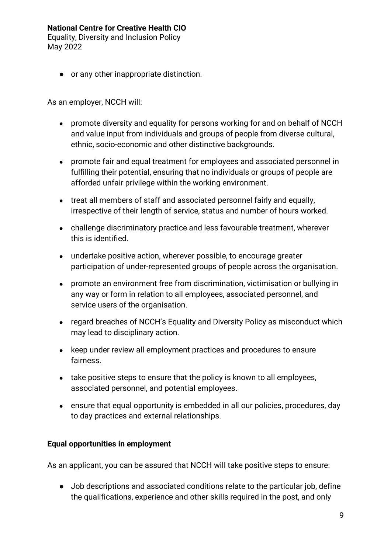Equality, Diversity and Inclusion Policy May 2022

● or any other inappropriate distinction.

As an employer, NCCH will:

- promote diversity and equality for persons working for and on behalf of NCCH and value input from individuals and groups of people from diverse cultural, ethnic, socio-economic and other distinctive backgrounds.
- promote fair and equal treatment for employees and associated personnel in fulfilling their potential, ensuring that no individuals or groups of people are afforded unfair privilege within the working environment.
- treat all members of staff and associated personnel fairly and equally, irrespective of their length of service, status and number of hours worked.
- challenge discriminatory practice and less favourable treatment, wherever this is identified.
- undertake positive action, wherever possible, to encourage greater participation of under-represented groups of people across the organisation.
- promote an environment free from discrimination, victimisation or bullying in any way or form in relation to all employees, associated personnel, and service users of the organisation.
- regard breaches of NCCH's Equality and Diversity Policy as misconduct which may lead to disciplinary action.
- keep under review all employment practices and procedures to ensure fairness.
- take positive steps to ensure that the policy is known to all employees, associated personnel, and potential employees.
- ensure that equal opportunity is embedded in all our policies, procedures, day to day practices and external relationships.

# **Equal opportunities in employment**

As an applicant, you can be assured that NCCH will take positive steps to ensure:

● Job descriptions and associated conditions relate to the particular job, define the qualifications, experience and other skills required in the post, and only